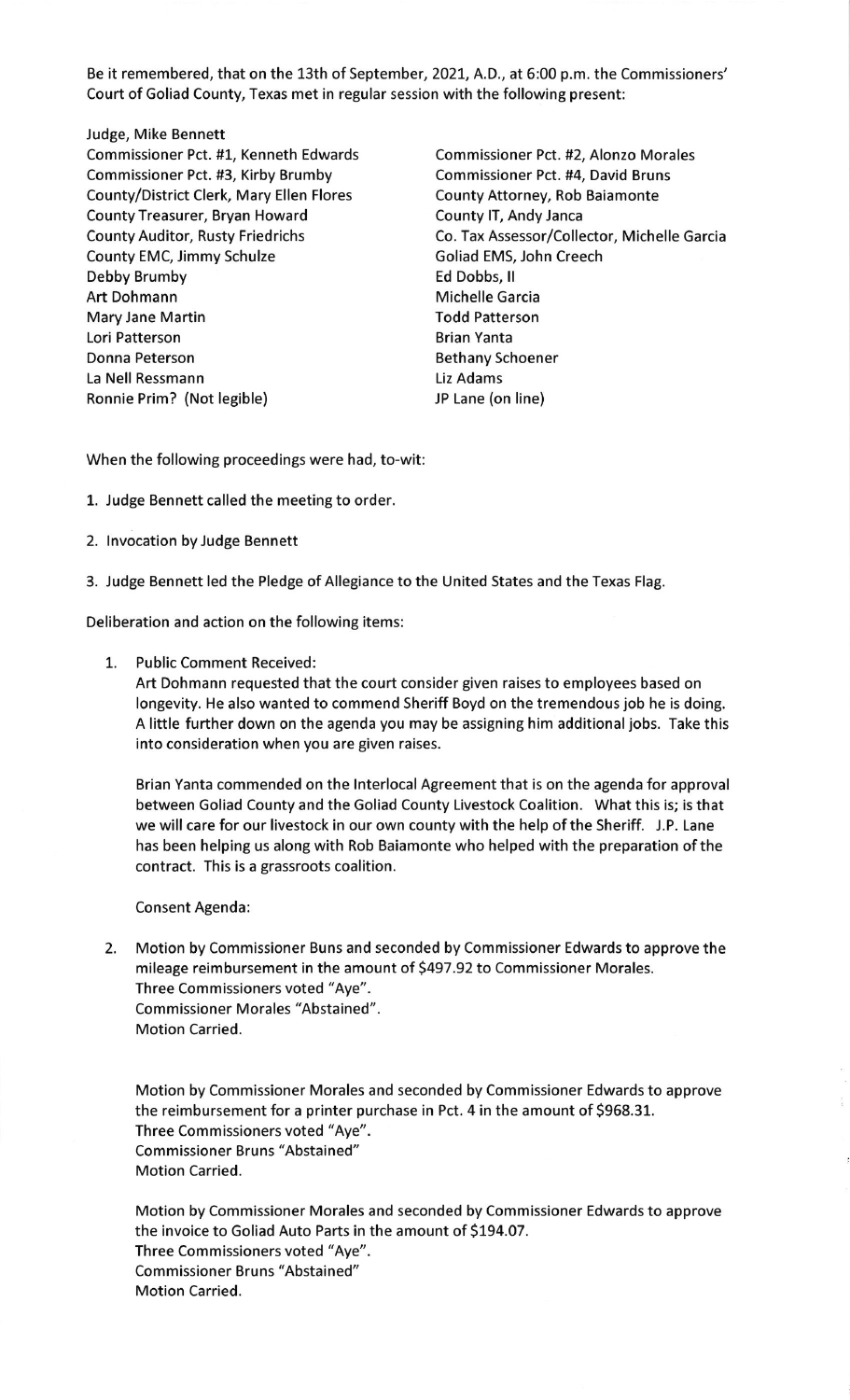Be it remembered, that on the 13th of September, 2O2I, A.D., at 6:00 p.m. the Commissioners' Court of Goliad County, Texas met in regular session with the following present:

## Judge, Mike Bennett

Commissioner Pct. #1, Kenneth Edwards Commissioner Pct. #2, Alonzo Morales Commissioner Pct. #3, Kirby Brumby Commissioner Pct. #4, David Bruns County/District Clerk, Mary Ellen Flores County Attorney, Rob Baiamonte County Treasurer, Bryan Howard County IT, Andy Janca County EMC, Jimmy Schulze Goliad EMS, John Creech Debby Brumby Ed Dobbs, ll Art Dohmann Michelle Garcia Mary Jane Martin Todd Patterson Lori Patterson **Brian Yanta** Donna Peterson **Bethany Schoener** Bethany Schoener La Nell Ressmann Liz Adams Ronnie Prim? (Not legible) JP Lane (on line)

County Auditor, Rusty Friedrichs Co. Tax Assessor/Collector, Michelle Garcia

When the following proceedings were had, to-wit:

- 1. Judge Bennett called the meeting to order.
- 2. lnvocation by Judge Bennett
- 3. Judge Bennett led the Pledge of Allegiance to the United States and the Texas Flag.

Deliberation and action on the following items:

1. Public Comment Received:

Art Dohmann requested that the court consider given raises to employees based on longevity. He also wanted to commend Sheriff Boyd on the tremendous job he is doing. A little further down on the agenda you may be assigning him additional jobs. Take this into consideration when you are given raises.

Brian Yanta commended on the lnterlocal Agreement that is on the agenda for approval between Goliad County and the Goliad County Livestock Coalition. What this is; is that we will care for our livestock in our own county with the help of the Sheriff. J.P. Lane has been helping us along with Rob Baiamonte who helped with the preparation of the contract. This is a grassroots coalition.

Consent Agenda:

2. Motion by Commissioner Buns and seconded by Commissioner Edwards to approve the mileage reimbursement in the amount of 5497.92 to Commissioner Morales. Three Commissioners voted "Aye". Commissioner Morales "Abstained". Motion Carried.

Motion by Commissioner Morales and seconded by Commissioner Edwards to approve the reimbursement for a printer purchase in Pct. 4 in the amount of \$968.31. Three Commissioners voted "Aye". Commissioner Bruns "Abstained" Motion Carried.

Motion by Commissioner Morales and seconded by Commissioner Edwards to approve the invoice to Goliad Auto Parts in the amount of \$194.07. Three Commissioners voted "Aye". Commissioner Bruns "Abstained" Motion Carried.